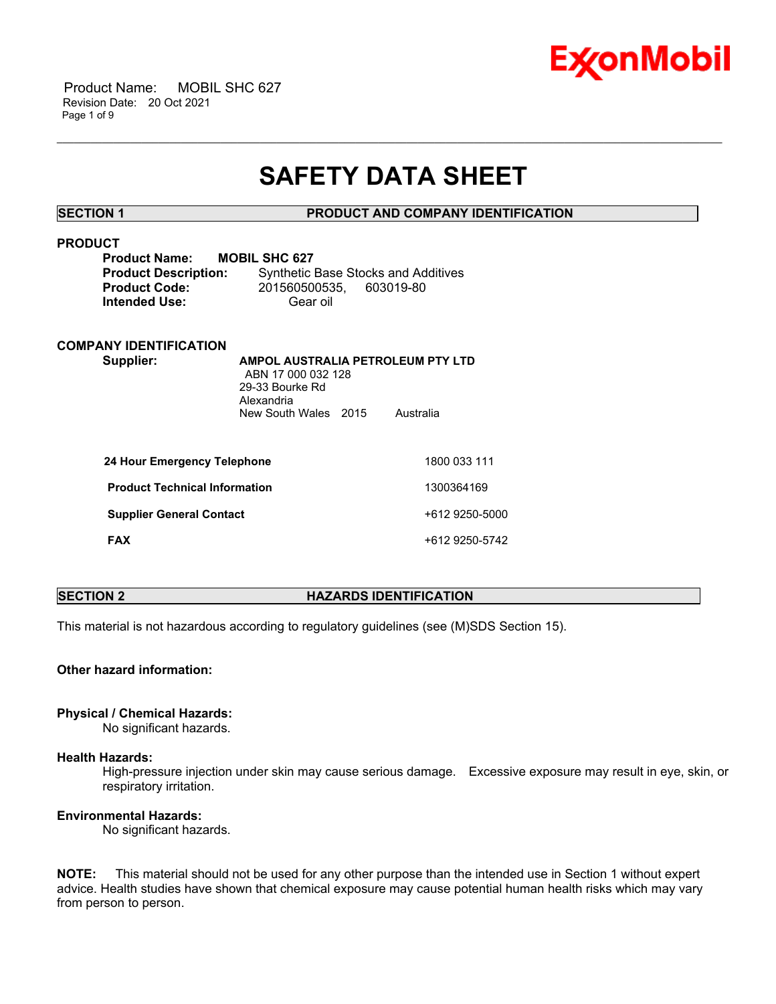

 Product Name: MOBIL SHC 627 Revision Date: 20 Oct 2021 Page 1 of 9

## **SAFETY DATA SHEET**

\_\_\_\_\_\_\_\_\_\_\_\_\_\_\_\_\_\_\_\_\_\_\_\_\_\_\_\_\_\_\_\_\_\_\_\_\_\_\_\_\_\_\_\_\_\_\_\_\_\_\_\_\_\_\_\_\_\_\_\_\_\_\_\_\_\_\_\_\_\_\_\_\_\_\_\_\_\_\_\_\_\_\_\_\_\_\_\_\_\_\_\_\_\_\_\_\_\_\_\_\_\_\_\_\_\_\_\_\_\_\_\_\_\_\_\_\_\_

**SECTION 1 PRODUCT AND COMPANY IDENTIFICATION**

### **PRODUCT**

| <b>Product Name:</b>        | <b>MOBIL SHC 627</b> |
|-----------------------------|----------------------|
| <b>Product Description:</b> | Synthetic Base       |
| <b>Product Code:</b>        | 20156050053          |
| Intended Use:               | Gear oil             |

**Products** and Additives **Product Code:** 201560500535, 603019-80

### **COMPANY IDENTIFICATION**

**Supplier: AMPOL AUSTRALIA PETROLEUM PTY LTD** ABN 17 000 032 128 29-33 Bourke Rd Alexandria New South Wales 2015 Australia

| 24 Hour Emergency Telephone          | 1800 033 111   |
|--------------------------------------|----------------|
| <b>Product Technical Information</b> | 1300364169     |
| <b>Supplier General Contact</b>      | +612 9250-5000 |
| <b>FAX</b>                           | +612 9250-5742 |

### **SECTION 2 HAZARDS IDENTIFICATION**

This material is not hazardous according to regulatory guidelines (see (M)SDS Section 15).

### **Other hazard information:**

### **Physical / Chemical Hazards:**

No significant hazards.

### **Health Hazards:**

High-pressure injection under skin may cause serious damage. Excessive exposure may result in eye, skin, or respiratory irritation.

### **Environmental Hazards:**

No significant hazards.

**NOTE:** This material should not be used for any other purpose than the intended use in Section 1 without expert advice. Health studies have shown that chemical exposure may cause potential human health risks which may vary from person to person.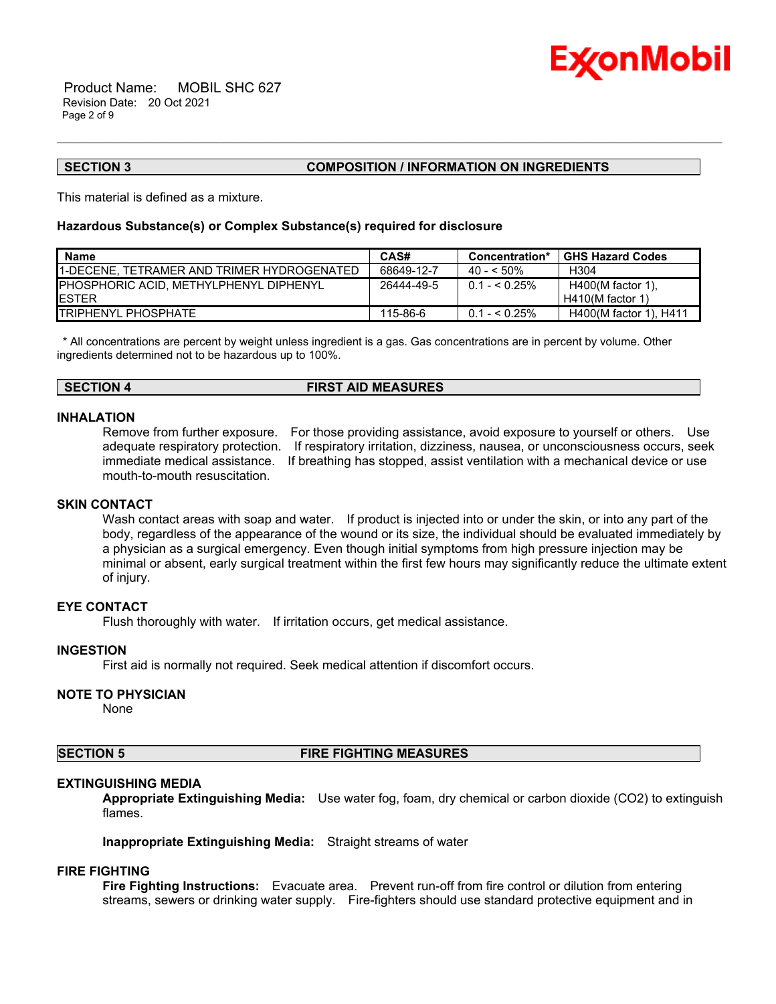

 Product Name: MOBIL SHC 627 Revision Date: 20 Oct 2021 Page 2 of 9

#### **SECTION 3 COMPOSITION / INFORMATION ON INGREDIENTS**

This material is defined as a mixture.

#### **Hazardous Substance(s) or Complex Substance(s) required for disclosure**

| <b>Name</b>                                        | CAS#       | Concentration* | <b>GHS Hazard Codes</b> |
|----------------------------------------------------|------------|----------------|-------------------------|
| <b>11-DECENE. TETRAMER AND TRIMER HYDROGENATED</b> | 68649-12-7 | 40 - < 50%     | H304                    |
| <b>IPHOSPHORIC ACID. METHYLPHENYL DIPHENYL</b>     | 26444-49-5 | $0.1 - 5.25\%$ | H400(M factor 1),       |
| <b>IESTER</b>                                      |            |                | $H410(M$ factor 1)      |
| <b>ITRIPHENYL PHOSPHATE</b>                        | 115-86-6   | $0.1 - 5.25\%$ | H400(M factor 1), H411  |

\_\_\_\_\_\_\_\_\_\_\_\_\_\_\_\_\_\_\_\_\_\_\_\_\_\_\_\_\_\_\_\_\_\_\_\_\_\_\_\_\_\_\_\_\_\_\_\_\_\_\_\_\_\_\_\_\_\_\_\_\_\_\_\_\_\_\_\_\_\_\_\_\_\_\_\_\_\_\_\_\_\_\_\_\_\_\_\_\_\_\_\_\_\_\_\_\_\_\_\_\_\_\_\_\_\_\_\_\_\_\_\_\_\_\_\_\_\_

\* All concentrations are percent by weight unless ingredient is a gas. Gas concentrations are in percent by volume. Other ingredients determined not to be hazardous up to 100%.

#### **SECTION 4 FIRST AID MEASURES**

#### **INHALATION**

Remove from further exposure. For those providing assistance, avoid exposure to yourself or others. Use adequate respiratory protection. If respiratory irritation, dizziness, nausea, or unconsciousness occurs, seek immediate medical assistance. If breathing has stopped, assist ventilation with a mechanical device or use mouth-to-mouth resuscitation.

#### **SKIN CONTACT**

Wash contact areas with soap and water. If product is injected into or under the skin, or into any part of the body, regardless of the appearance of the wound or its size, the individual should be evaluated immediately by a physician as a surgical emergency. Even though initial symptoms from high pressure injection may be minimal or absent, early surgical treatment within the first few hours may significantly reduce the ultimate extent of injury.

#### **EYE CONTACT**

Flush thoroughly with water. If irritation occurs, get medical assistance.

### **INGESTION**

First aid is normally not required. Seek medical attention if discomfort occurs.

#### **NOTE TO PHYSICIAN**

None

#### **SECTION 5 FIRE FIGHTING MEASURES**

#### **EXTINGUISHING MEDIA**

**Appropriate Extinguishing Media:** Use water fog, foam, dry chemical or carbon dioxide (CO2) to extinguish flames.

**Inappropriate Extinguishing Media:** Straight streams of water

#### **FIRE FIGHTING**

**Fire Fighting Instructions:** Evacuate area. Prevent run-off from fire control or dilution from entering streams, sewers or drinking water supply. Fire-fighters should use standard protective equipment and in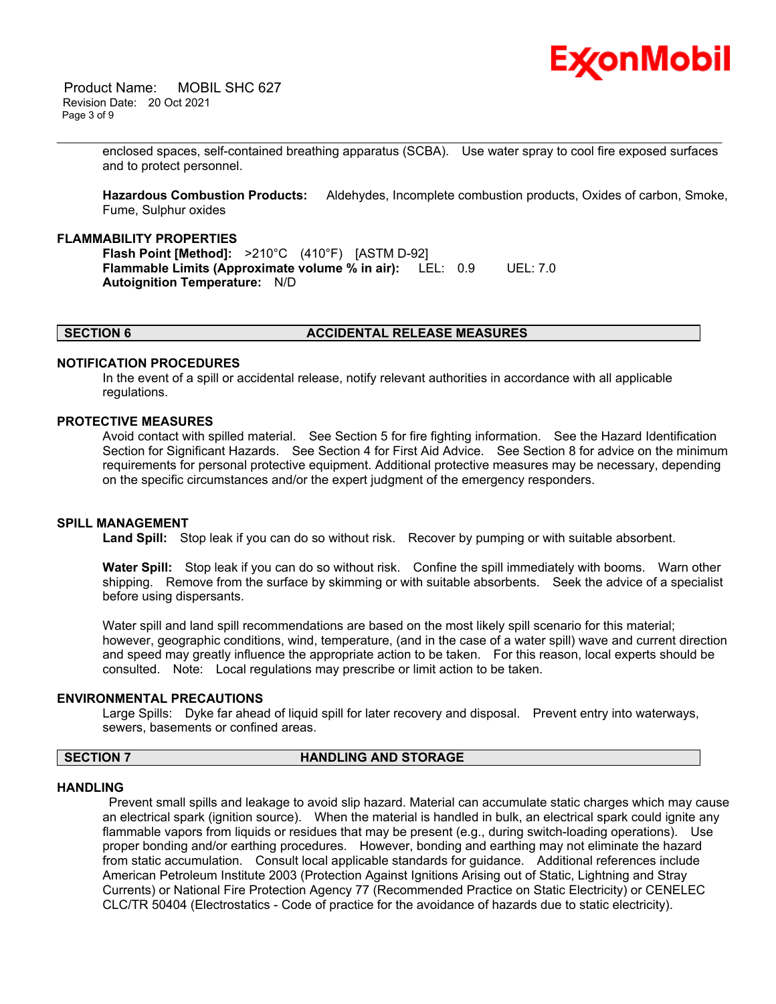

 Product Name: MOBIL SHC 627 Revision Date: 20 Oct 2021 Page 3 of 9

> enclosed spaces, self-contained breathing apparatus (SCBA). Use water spray to cool fire exposed surfaces and to protect personnel.

\_\_\_\_\_\_\_\_\_\_\_\_\_\_\_\_\_\_\_\_\_\_\_\_\_\_\_\_\_\_\_\_\_\_\_\_\_\_\_\_\_\_\_\_\_\_\_\_\_\_\_\_\_\_\_\_\_\_\_\_\_\_\_\_\_\_\_\_\_\_\_\_\_\_\_\_\_\_\_\_\_\_\_\_\_\_\_\_\_\_\_\_\_\_\_\_\_\_\_\_\_\_\_\_\_\_\_\_\_\_\_\_\_\_\_\_\_\_

**Hazardous Combustion Products:** Aldehydes, Incomplete combustion products, Oxides of carbon, Smoke, Fume, Sulphur oxides

#### **FLAMMABILITY PROPERTIES**

**Flash Point [Method]:** >210°C (410°F) [ASTM D-92] **Flammable Limits (Approximate volume % in air):** LEL: 0.9 UEL: 7.0 **Autoignition Temperature:** N/D

#### **SECTION 6 ACCIDENTAL RELEASE MEASURES**

### **NOTIFICATION PROCEDURES**

In the event of a spill or accidental release, notify relevant authorities in accordance with all applicable regulations.

#### **PROTECTIVE MEASURES**

Avoid contact with spilled material. See Section 5 for fire fighting information. See the Hazard Identification Section for Significant Hazards. See Section 4 for First Aid Advice. See Section 8 for advice on the minimum requirements for personal protective equipment. Additional protective measures may be necessary, depending on the specific circumstances and/or the expert judgment of the emergency responders.

#### **SPILL MANAGEMENT**

**Land Spill:** Stop leak if you can do so without risk. Recover by pumping or with suitable absorbent.

**Water Spill:** Stop leak if you can do so without risk. Confine the spill immediately with booms. Warn other shipping. Remove from the surface by skimming or with suitable absorbents. Seek the advice of a specialist before using dispersants.

Water spill and land spill recommendations are based on the most likely spill scenario for this material; however, geographic conditions, wind, temperature, (and in the case of a water spill) wave and current direction and speed may greatly influence the appropriate action to be taken. For this reason, local experts should be consulted. Note: Local regulations may prescribe or limit action to be taken.

#### **ENVIRONMENTAL PRECAUTIONS**

Large Spills: Dyke far ahead of liquid spill for later recovery and disposal. Prevent entry into waterways, sewers, basements or confined areas.

#### **SECTION 7 HANDLING AND STORAGE**

#### **HANDLING**

Prevent small spills and leakage to avoid slip hazard. Material can accumulate static charges which may cause an electrical spark (ignition source). When the material is handled in bulk, an electrical spark could ignite any flammable vapors from liquids or residues that may be present (e.g., during switch-loading operations). Use proper bonding and/or earthing procedures. However, bonding and earthing may not eliminate the hazard from static accumulation. Consult local applicable standards for guidance. Additional references include American Petroleum Institute 2003 (Protection Against Ignitions Arising out of Static, Lightning and Stray Currents) or National Fire Protection Agency 77 (Recommended Practice on Static Electricity) or CENELEC CLC/TR 50404 (Electrostatics - Code of practice for the avoidance of hazards due to static electricity).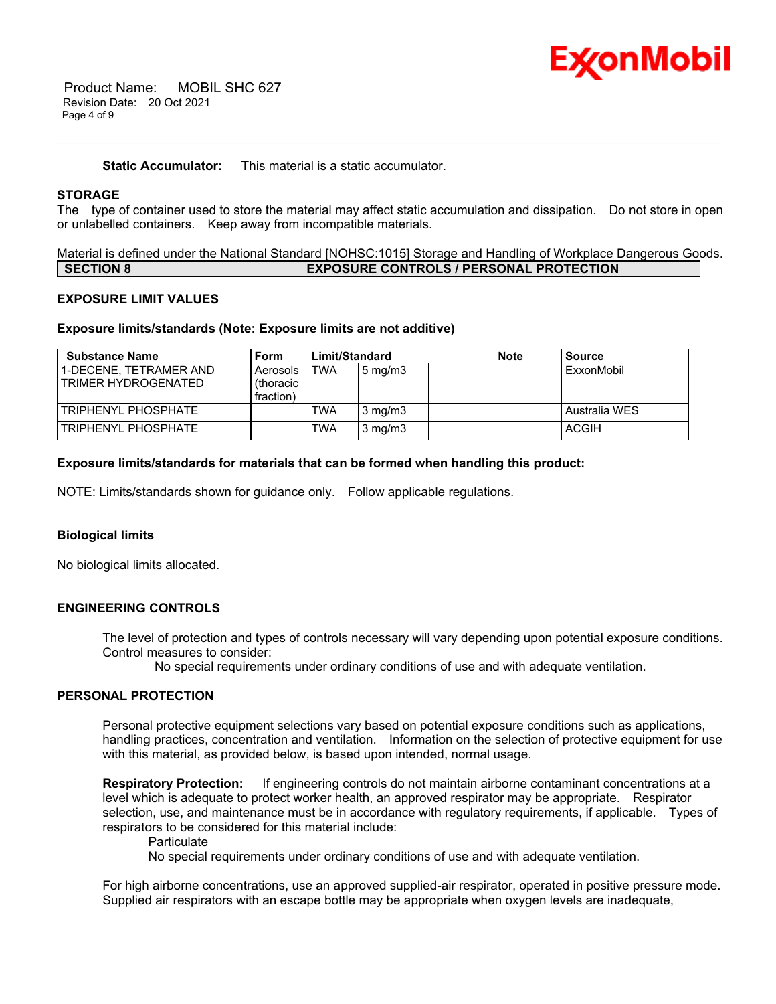

#### **Static Accumulator:** This material is a static accumulator.

#### **STORAGE**

The type of container used to store the material may affect static accumulation and dissipation. Do not store in open or unlabelled containers. Keep away from incompatible materials.

\_\_\_\_\_\_\_\_\_\_\_\_\_\_\_\_\_\_\_\_\_\_\_\_\_\_\_\_\_\_\_\_\_\_\_\_\_\_\_\_\_\_\_\_\_\_\_\_\_\_\_\_\_\_\_\_\_\_\_\_\_\_\_\_\_\_\_\_\_\_\_\_\_\_\_\_\_\_\_\_\_\_\_\_\_\_\_\_\_\_\_\_\_\_\_\_\_\_\_\_\_\_\_\_\_\_\_\_\_\_\_\_\_\_\_\_\_\_

Material is defined under the National Standard [NOHSC:1015] Storage and Handling of Workplace Dangerous Goods. **SECTION 8 EXPOSURE CONTROLS / PERSONAL PROTECTION**

### **EXPOSURE LIMIT VALUES**

#### **Exposure limits/standards (Note: Exposure limits are not additive)**

| <b>Substance Name</b>                         | Form                               | Limit/Standard |                  | <b>Note</b> | <b>Source</b> |
|-----------------------------------------------|------------------------------------|----------------|------------------|-------------|---------------|
| 1-DECENE. TETRAMER AND<br>TRIMER HYDROGENATED | Aerosols<br>(thoracic<br>fraction) | TWA            | $5 \text{ mg/m}$ |             | ExxonMobil    |
| TRIPHENYL PHOSPHATE                           |                                    | TWA            | $3 \text{ mg/m}$ |             | Australia WES |
| TRIPHENYL PHOSPHATE                           |                                    | TWA            | $3 \text{ mg/m}$ |             | ACGIH         |

#### **Exposure limits/standards for materials that can be formed when handling this product:**

NOTE: Limits/standards shown for guidance only. Follow applicable regulations.

### **Biological limits**

No biological limits allocated.

### **ENGINEERING CONTROLS**

The level of protection and types of controls necessary will vary depending upon potential exposure conditions. Control measures to consider:

No special requirements under ordinary conditions of use and with adequate ventilation.

#### **PERSONAL PROTECTION**

Personal protective equipment selections vary based on potential exposure conditions such as applications, handling practices, concentration and ventilation. Information on the selection of protective equipment for use with this material, as provided below, is based upon intended, normal usage.

**Respiratory Protection:** If engineering controls do not maintain airborne contaminant concentrations at a level which is adequate to protect worker health, an approved respirator may be appropriate. Respirator selection, use, and maintenance must be in accordance with regulatory requirements, if applicable. Types of respirators to be considered for this material include:

#### **Particulate**

No special requirements under ordinary conditions of use and with adequate ventilation.

For high airborne concentrations, use an approved supplied-air respirator, operated in positive pressure mode. Supplied air respirators with an escape bottle may be appropriate when oxygen levels are inadequate,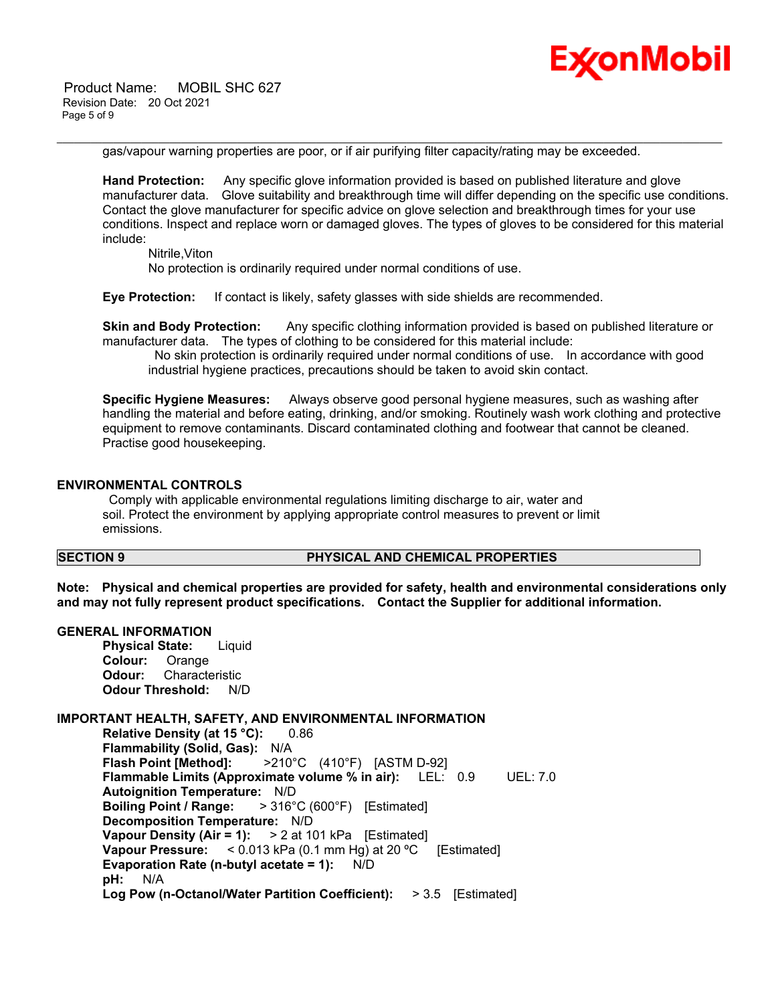Product Name: MOBIL SHC 627 Revision Date: 20 Oct 2021 Page 5 of 9



gas/vapour warning properties are poor, or if air purifying filter capacity/rating may be exceeded.

\_\_\_\_\_\_\_\_\_\_\_\_\_\_\_\_\_\_\_\_\_\_\_\_\_\_\_\_\_\_\_\_\_\_\_\_\_\_\_\_\_\_\_\_\_\_\_\_\_\_\_\_\_\_\_\_\_\_\_\_\_\_\_\_\_\_\_\_\_\_\_\_\_\_\_\_\_\_\_\_\_\_\_\_\_\_\_\_\_\_\_\_\_\_\_\_\_\_\_\_\_\_\_\_\_\_\_\_\_\_\_\_\_\_\_\_\_\_

**Hand Protection:** Any specific glove information provided is based on published literature and glove manufacturer data. Glove suitability and breakthrough time will differ depending on the specific use conditions. Contact the glove manufacturer for specific advice on glove selection and breakthrough times for your use conditions. Inspect and replace worn or damaged gloves. The types of gloves to be considered for this material include:

Nitrile,Viton

No protection is ordinarily required under normal conditions of use.

**Eye Protection:** If contact is likely, safety glasses with side shields are recommended.

**Skin and Body Protection:** Any specific clothing information provided is based on published literature or manufacturer data. The types of clothing to be considered for this material include:

No skin protection is ordinarily required under normal conditions of use. In accordance with good industrial hygiene practices, precautions should be taken to avoid skin contact.

**Specific Hygiene Measures:** Always observe good personal hygiene measures, such as washing after handling the material and before eating, drinking, and/or smoking. Routinely wash work clothing and protective equipment to remove contaminants. Discard contaminated clothing and footwear that cannot be cleaned. Practise good housekeeping.

### **ENVIRONMENTAL CONTROLS**

Comply with applicable environmental regulations limiting discharge to air, water and soil. Protect the environment by applying appropriate control measures to prevent or limit emissions.

### **SECTION 9 PHYSICAL AND CHEMICAL PROPERTIES**

**Note: Physical and chemical properties are provided for safety, health and environmental considerations only and may not fully represent product specifications. Contact the Supplier for additional information.**

#### **GENERAL INFORMATION**

**Physical State:** Liquid **Colour:** Orange **Odour:** Characteristic **Odour Threshold:** N/D

### **IMPORTANT HEALTH, SAFETY, AND ENVIRONMENTAL INFORMATION**

**Relative Density (at 15 °C):** 0.86 **Flammability (Solid, Gas):** N/A **Flash Point [Method]:** >210°C (410°F) [ASTM D-92] **Flammable Limits (Approximate volume % in air):** LEL: 0.9 UEL: 7.0 **Autoignition Temperature:** N/D **Boiling Point / Range:** > 316°C (600°F) [Estimated] **Decomposition Temperature:** N/D **Vapour Density (Air = 1):** > 2 at 101 kPa [Estimated] **Vapour Pressure:** < 0.013 kPa (0.1 mm Hg) at 20 ºC [Estimated] **Evaporation Rate (n-butyl acetate = 1):** N/D **pH:** N/A **Log Pow (n-Octanol/Water Partition Coefficient):** > 3.5 [Estimated]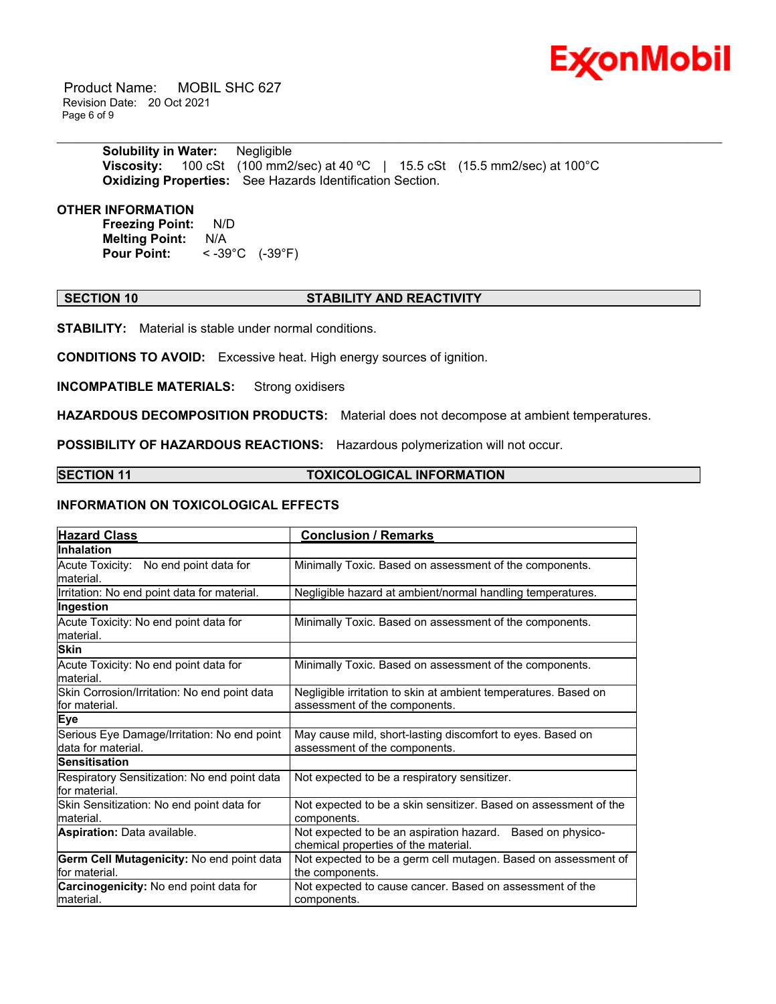

 Product Name: MOBIL SHC 627 Revision Date: 20 Oct 2021 Page 6 of 9

> **Solubility in Water:** Negligible **Viscosity:** 100 cSt (100 mm2/sec) at 40 °C | 15.5 cSt (15.5 mm2/sec) at 100°C **Oxidizing Properties:** See Hazards Identification Section.

#### **OTHER INFORMATION**

**Freezing Point:** N/D **Melting Point:** N/A<br>**Pour Point:** < -39 **Pour Point:** < -39°C (-39°F)

#### **SECTION 10 STABILITY AND REACTIVITY**

\_\_\_\_\_\_\_\_\_\_\_\_\_\_\_\_\_\_\_\_\_\_\_\_\_\_\_\_\_\_\_\_\_\_\_\_\_\_\_\_\_\_\_\_\_\_\_\_\_\_\_\_\_\_\_\_\_\_\_\_\_\_\_\_\_\_\_\_\_\_\_\_\_\_\_\_\_\_\_\_\_\_\_\_\_\_\_\_\_\_\_\_\_\_\_\_\_\_\_\_\_\_\_\_\_\_\_\_\_\_\_\_\_\_\_\_\_\_

**STABILITY:** Material is stable under normal conditions.

**CONDITIONS TO AVOID:** Excessive heat. High energy sources of ignition.

**INCOMPATIBLE MATERIALS:** Strong oxidisers

**HAZARDOUS DECOMPOSITION PRODUCTS:** Material does not decompose at ambient temperatures.

**POSSIBILITY OF HAZARDOUS REACTIONS:** Hazardous polymerization will not occur.

#### **SECTION 11 TOXICOLOGICAL INFORMATION**

#### **INFORMATION ON TOXICOLOGICAL EFFECTS**

| <b>Hazard Class</b>                                               | <b>Conclusion / Remarks</b>                                                                           |
|-------------------------------------------------------------------|-------------------------------------------------------------------------------------------------------|
| Inhalation                                                        |                                                                                                       |
| No end point data for<br><b>Acute Toxicity:</b><br>lmaterial.     | Minimally Toxic. Based on assessment of the components.                                               |
| Irritation: No end point data for material.                       | Negligible hazard at ambient/normal handling temperatures.                                            |
| Ingestion                                                         |                                                                                                       |
| Acute Toxicity: No end point data for<br>lmaterial.               | Minimally Toxic. Based on assessment of the components.                                               |
| <b>Skin</b>                                                       |                                                                                                       |
| Acute Toxicity: No end point data for<br>lmaterial.               | Minimally Toxic. Based on assessment of the components.                                               |
| Skin Corrosion/Irritation: No end point data<br>lfor material.    | Negligible irritation to skin at ambient temperatures. Based on<br>assessment of the components.      |
| Eye                                                               |                                                                                                       |
| Serious Eye Damage/Irritation: No end point<br>data for material. | May cause mild, short-lasting discomfort to eyes. Based on<br>assessment of the components.           |
| Sensitisation                                                     |                                                                                                       |
| Respiratory Sensitization: No end point data<br>lfor material.    | Not expected to be a respiratory sensitizer.                                                          |
| Skin Sensitization: No end point data for<br>lmaterial.           | Not expected to be a skin sensitizer. Based on assessment of the<br>components.                       |
| Aspiration: Data available.                                       | Not expected to be an aspiration hazard.<br>Based on physico-<br>chemical properties of the material. |
| Germ Cell Mutagenicity: No end point data<br>lfor material.       | Not expected to be a germ cell mutagen. Based on assessment of<br>the components.                     |
| Carcinogenicity: No end point data for<br>material.               | Not expected to cause cancer. Based on assessment of the<br>components.                               |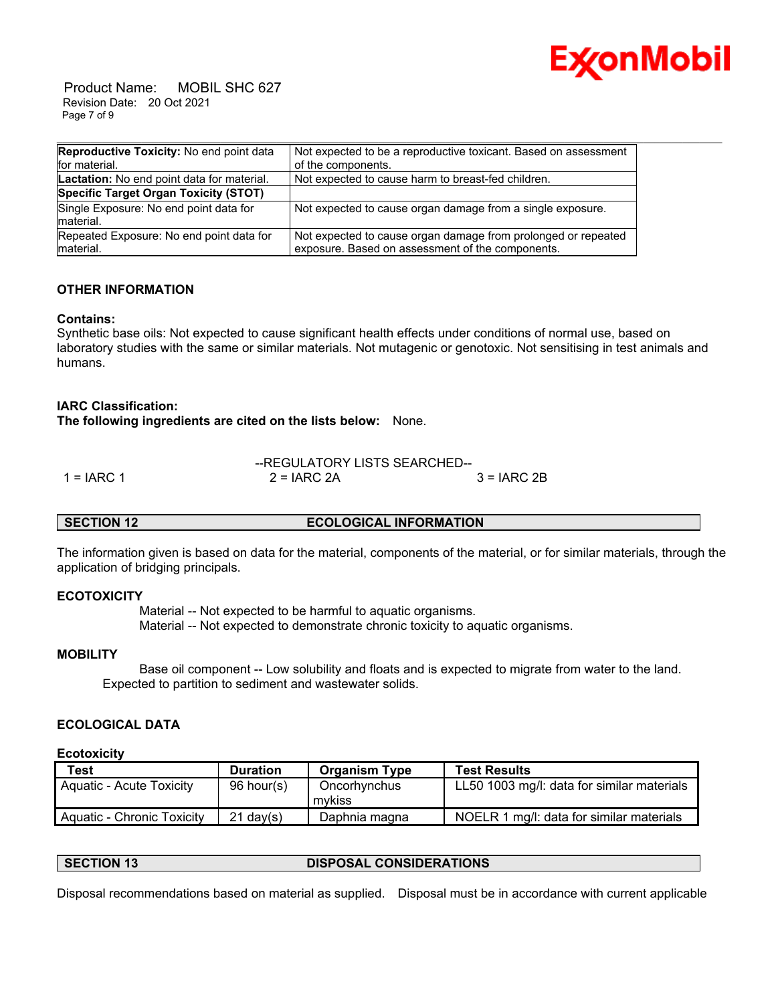

 Product Name: MOBIL SHC 627 Revision Date: 20 Oct 2021 Page 7 of 9

| Reproductive Toxicity: No end point data             | Not expected to be a reproductive toxicant. Based on assessment |
|------------------------------------------------------|-----------------------------------------------------------------|
| for material.                                        | of the components.                                              |
| Lactation: No end point data for material.           | Not expected to cause harm to breast-fed children.              |
| Specific Target Organ Toxicity (STOT)                |                                                                 |
| Single Exposure: No end point data for<br>Imaterial. | Not expected to cause organ damage from a single exposure.      |
| Repeated Exposure: No end point data for             | Not expected to cause organ damage from prolonged or repeated   |
| Imaterial.                                           | exposure. Based on assessment of the components.                |

### **OTHER INFORMATION**

#### **Contains:**

Synthetic base oils: Not expected to cause significant health effects under conditions of normal use, based on laboratory studies with the same or similar materials. Not mutagenic or genotoxic. Not sensitising in test animals and humans.

#### **IARC Classification:**

**The following ingredients are cited on the lists below:** None.

--REGULATORY LISTS SEARCHED--  $1 = IARC 1$   $2 = IARC 2A$   $3 = IARC 2B$ 

### **SECTION 12 ECOLOGICAL INFORMATION**

The information given is based on data for the material, components of the material, or for similar materials, through the application of bridging principals.

#### **ECOTOXICITY**

 Material -- Not expected to be harmful to aquatic organisms. Material -- Not expected to demonstrate chronic toxicity to aquatic organisms.

#### **MOBILITY**

 Base oil component -- Low solubility and floats and is expected to migrate from water to the land. Expected to partition to sediment and wastewater solids.

### **ECOLOGICAL DATA**

#### **Ecotoxicity**

| Test                       | <b>Duration</b> | <b>Organism Type</b> | <b>Test Results</b>                        |
|----------------------------|-----------------|----------------------|--------------------------------------------|
| Aquatic - Acute Toxicity   | 96 hour(s)      | Oncorhynchus         | LL50 1003 mg/l: data for similar materials |
|                            |                 | mykiss               |                                            |
| Aquatic - Chronic Toxicity | $21$ dav(s)     | Daphnia magna        | NOELR 1 mg/l: data for similar materials   |

### **SECTION 13 DISPOSAL CONSIDERATIONS**

Disposal recommendations based on material as supplied. Disposal must be in accordance with current applicable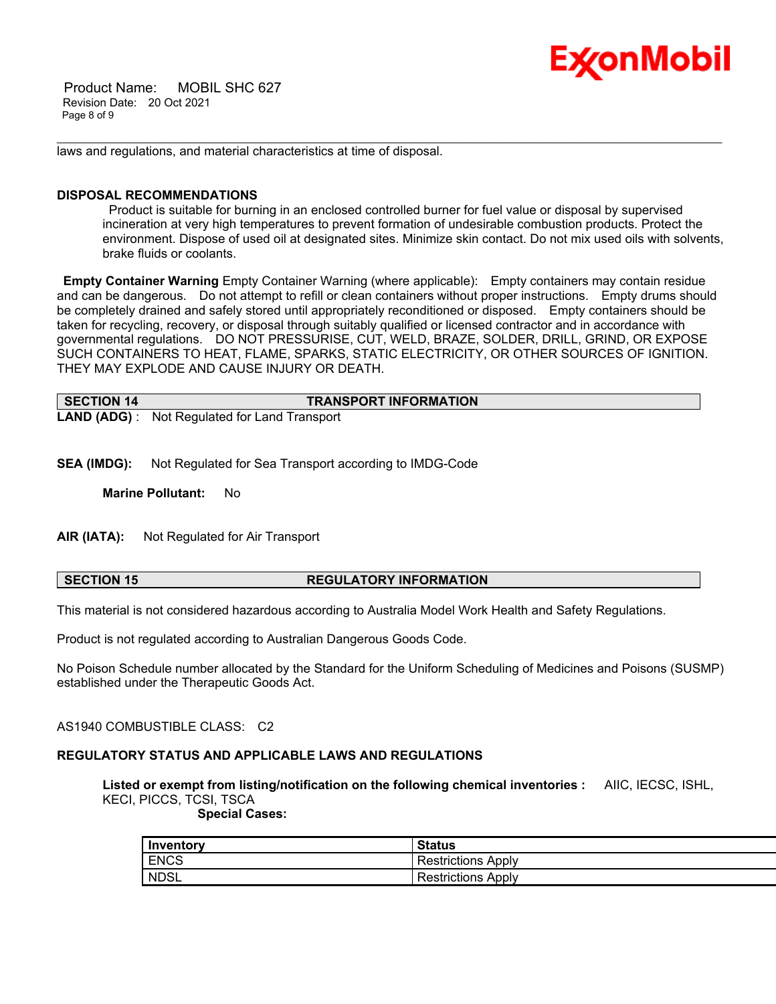# Ex⁄onMobil

 Product Name: MOBIL SHC 627 Revision Date: 20 Oct 2021 Page 8 of 9

laws and regulations, and material characteristics at time of disposal.

### **DISPOSAL RECOMMENDATIONS**

Product is suitable for burning in an enclosed controlled burner for fuel value or disposal by supervised incineration at very high temperatures to prevent formation of undesirable combustion products. Protect the environment. Dispose of used oil at designated sites. Minimize skin contact. Do not mix used oils with solvents, brake fluids or coolants.

**Empty Container Warning** Empty Container Warning (where applicable): Empty containers may contain residue and can be dangerous. Do not attempt to refill or clean containers without proper instructions. Empty drums should be completely drained and safely stored until appropriately reconditioned or disposed. Empty containers should be taken for recycling, recovery, or disposal through suitably qualified or licensed contractor and in accordance with governmental regulations. DO NOT PRESSURISE, CUT, WELD, BRAZE, SOLDER, DRILL, GRIND, OR EXPOSE SUCH CONTAINERS TO HEAT, FLAME, SPARKS, STATIC ELECTRICITY, OR OTHER SOURCES OF IGNITION. THEY MAY EXPLODE AND CAUSE INJURY OR DEATH.

\_\_\_\_\_\_\_\_\_\_\_\_\_\_\_\_\_\_\_\_\_\_\_\_\_\_\_\_\_\_\_\_\_\_\_\_\_\_\_\_\_\_\_\_\_\_\_\_\_\_\_\_\_\_\_\_\_\_\_\_\_\_\_\_\_\_\_\_\_\_\_\_\_\_\_\_\_\_\_\_\_\_\_\_\_\_\_\_\_\_\_\_\_\_\_\_\_\_\_\_\_\_\_\_\_\_\_\_\_\_\_\_\_\_\_\_\_\_

| SECTION 14 | <b>TRANSPORT INFORMATION</b>                         |
|------------|------------------------------------------------------|
|            | <b>LAND (ADG)</b> : Not Regulated for Land Transport |

**SEA (IMDG):** Not Regulated for Sea Transport according to IMDG-Code

**Marine Pollutant:** No

**AIR (IATA):** Not Regulated for Air Transport

### **SECTION 15 REGULATORY INFORMATION**

This material is not considered hazardous according to Australia Model Work Health and Safety Regulations.

Product is not regulated according to Australian Dangerous Goods Code.

No Poison Schedule number allocated by the Standard for the Uniform Scheduling of Medicines and Poisons (SUSMP) established under the Therapeutic Goods Act.

AS1940 COMBUSTIBLE CLASS: C2

### **REGULATORY STATUS AND APPLICABLE LAWS AND REGULATIONS**

**Listed or exempt from listing/notification on the following chemical inventories :** AIIC, IECSC, ISHL, KECI, PICCS, TCSI, TSCA

 **Special Cases:**

| Inventory   | <b>Status</b>           |
|-------------|-------------------------|
| <b>ENCS</b> | Apply<br>≺estrictions   |
| <b>NDSL</b> | . Apply<br>Restrictions |